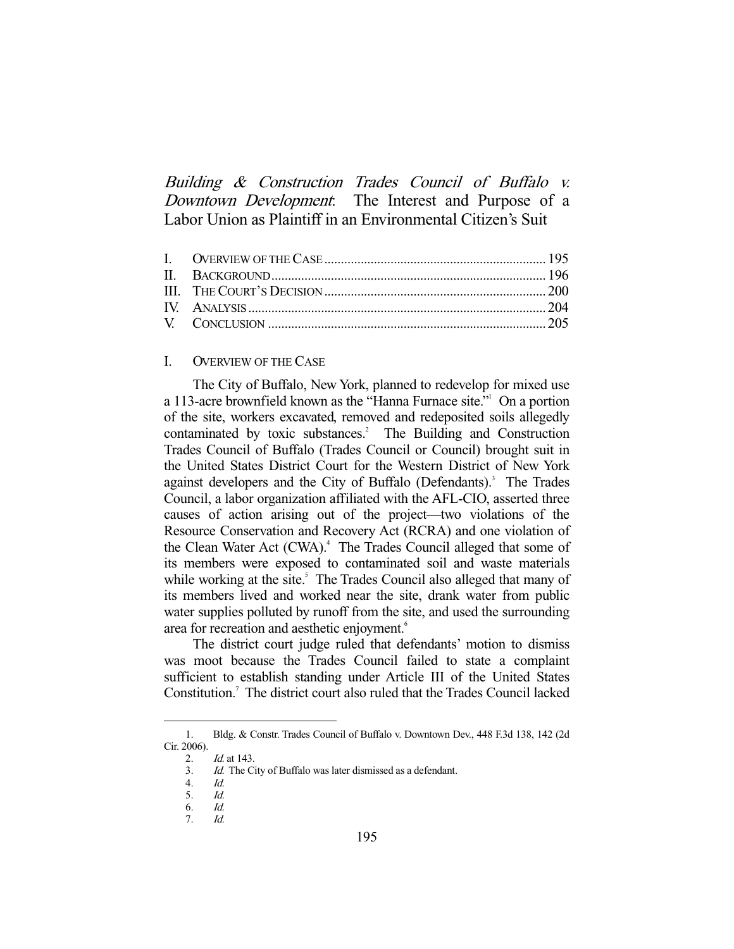Building & Construction Trades Council of Buffalo v. Downtown Development. The Interest and Purpose of a Labor Union as Plaintiff in an Environmental Citizen's Suit

# I. OVERVIEW OF THE CASE

 The City of Buffalo, New York, planned to redevelop for mixed use a 113-acre brownfield known as the "Hanna Furnace site." On a portion of the site, workers excavated, removed and redeposited soils allegedly contaminated by toxic substances.<sup>2</sup> The Building and Construction Trades Council of Buffalo (Trades Council or Council) brought suit in the United States District Court for the Western District of New York against developers and the City of Buffalo (Defendants).<sup>3</sup> The Trades Council, a labor organization affiliated with the AFL-CIO, asserted three causes of action arising out of the project—two violations of the Resource Conservation and Recovery Act (RCRA) and one violation of the Clean Water Act (CWA).<sup>4</sup> The Trades Council alleged that some of its members were exposed to contaminated soil and waste materials while working at the site.<sup>5</sup> The Trades Council also alleged that many of its members lived and worked near the site, drank water from public water supplies polluted by runoff from the site, and used the surrounding area for recreation and aesthetic enjoyment.<sup>6</sup>

 The district court judge ruled that defendants' motion to dismiss was moot because the Trades Council failed to state a complaint sufficient to establish standing under Article III of the United States Constitution.<sup>7</sup> The district court also ruled that the Trades Council lacked

 <sup>1.</sup> Bldg. & Constr. Trades Council of Buffalo v. Downtown Dev., 448 F.3d 138, 142 (2d Cir. 2006).

 <sup>2.</sup> Id. at 143.

 <sup>3.</sup> Id. The City of Buffalo was later dismissed as a defendant.

 <sup>4.</sup> Id.

 <sup>5.</sup> Id.

 <sup>6.</sup> Id.

 <sup>7.</sup> Id.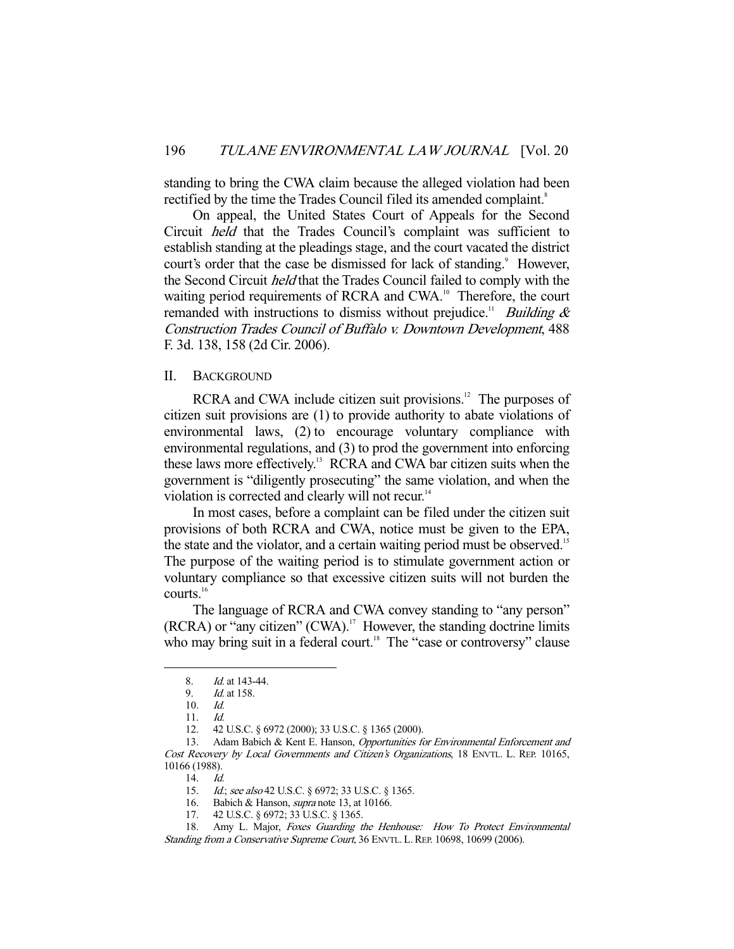standing to bring the CWA claim because the alleged violation had been rectified by the time the Trades Council filed its amended complaint.<sup>8</sup>

 On appeal, the United States Court of Appeals for the Second Circuit held that the Trades Council's complaint was sufficient to establish standing at the pleadings stage, and the court vacated the district court's order that the case be dismissed for lack of standing.<sup>9</sup> However, the Second Circuit held that the Trades Council failed to comply with the waiting period requirements of RCRA and CWA.<sup>10</sup> Therefore, the court remanded with instructions to dismiss without prejudice.<sup>11</sup> *Building &* Construction Trades Council of Buffalo v. Downtown Development, 488 F. 3d. 138, 158 (2d Cir. 2006).

## II. BACKGROUND

RCRA and CWA include citizen suit provisions.<sup>12</sup> The purposes of citizen suit provisions are (1) to provide authority to abate violations of environmental laws, (2) to encourage voluntary compliance with environmental regulations, and (3) to prod the government into enforcing these laws more effectively.13 RCRA and CWA bar citizen suits when the government is "diligently prosecuting" the same violation, and when the violation is corrected and clearly will not recur.<sup>14</sup>

 In most cases, before a complaint can be filed under the citizen suit provisions of both RCRA and CWA, notice must be given to the EPA, the state and the violator, and a certain waiting period must be observed.<sup>15</sup> The purpose of the waiting period is to stimulate government action or voluntary compliance so that excessive citizen suits will not burden the courts.<sup>16</sup>

 The language of RCRA and CWA convey standing to "any person"  $(RCRA)$  or "any citizen"  $(CWA)$ .<sup>17</sup> However, the standing doctrine limits who may bring suit in a federal court.<sup>18</sup> The "case or controversy" clause

-

13. Adam Babich & Kent E. Hanson, Opportunities for Environmental Enforcement and Cost Recovery by Local Governments and Citizen's Organizations, 18 ENVTL. L. REP. 10165, 10166 (1988).

14. Id.

 <sup>8.</sup> Id. at 143-44.

 <sup>9.</sup> Id. at 158.

 <sup>10.</sup> Id.

 <sup>11.</sup> Id.

 <sup>12. 42</sup> U.S.C. § 6972 (2000); 33 U.S.C. § 1365 (2000).

<sup>15.</sup> *Id.*; see also 42 U.S.C. § 6972; 33 U.S.C. § 1365.

 <sup>16.</sup> Babich & Hanson, supra note 13, at 10166.

 <sup>17. 42</sup> U.S.C. § 6972; 33 U.S.C. § 1365.

<sup>18.</sup> Amy L. Major, Foxes Guarding the Henhouse: How To Protect Environmental Standing from a Conservative Supreme Court, 36 ENVTL. L. REP. 10698, 10699 (2006).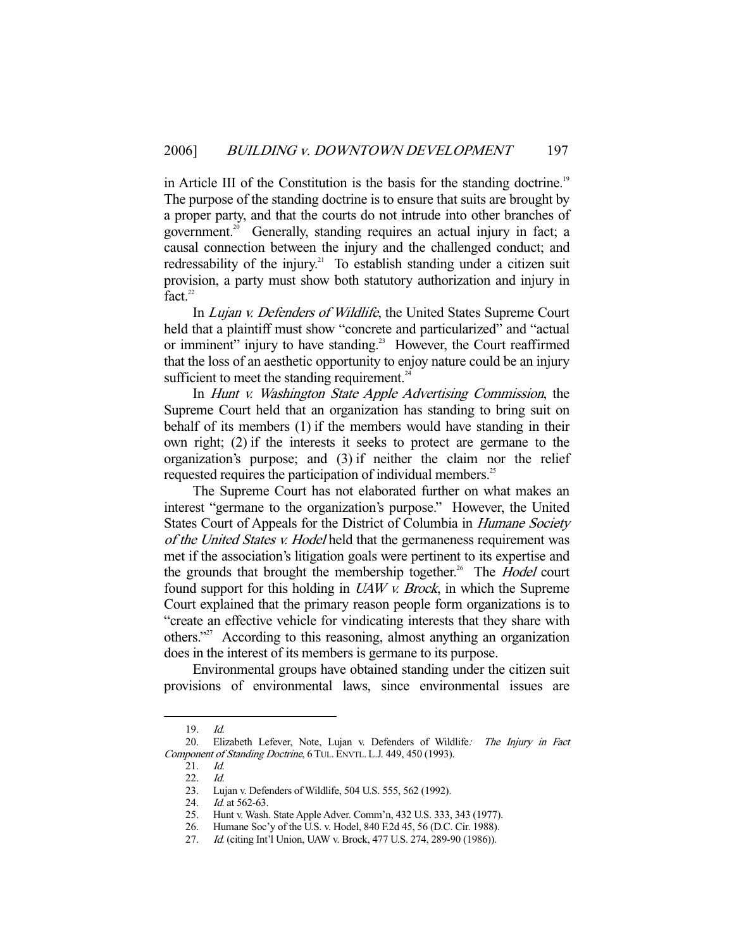in Article III of the Constitution is the basis for the standing doctrine.<sup>19</sup> The purpose of the standing doctrine is to ensure that suits are brought by a proper party, and that the courts do not intrude into other branches of government.<sup>20</sup> Generally, standing requires an actual injury in fact; a causal connection between the injury and the challenged conduct; and redressability of the injury.<sup>21</sup> To establish standing under a citizen suit provision, a party must show both statutory authorization and injury in fact. $22$ 

 In Lujan v. Defenders of Wildlife, the United States Supreme Court held that a plaintiff must show "concrete and particularized" and "actual or imminent" injury to have standing.<sup>23</sup> However, the Court reaffirmed that the loss of an aesthetic opportunity to enjoy nature could be an injury sufficient to meet the standing requirement. $24$ 

In *Hunt v. Washington State Apple Advertising Commission*, the Supreme Court held that an organization has standing to bring suit on behalf of its members (1) if the members would have standing in their own right; (2) if the interests it seeks to protect are germane to the organization's purpose; and (3) if neither the claim nor the relief requested requires the participation of individual members.<sup>25</sup>

 The Supreme Court has not elaborated further on what makes an interest "germane to the organization's purpose." However, the United States Court of Appeals for the District of Columbia in Humane Society of the United States v. Hodel held that the germaneness requirement was met if the association's litigation goals were pertinent to its expertise and the grounds that brought the membership together.<sup>26</sup> The *Hodel* court found support for this holding in UAW v. Brock, in which the Supreme Court explained that the primary reason people form organizations is to "create an effective vehicle for vindicating interests that they share with others."27 According to this reasoning, almost anything an organization does in the interest of its members is germane to its purpose.

 Environmental groups have obtained standing under the citizen suit provisions of environmental laws, since environmental issues are

 <sup>19.</sup> Id.

<sup>20.</sup> Elizabeth Lefever, Note, Lujan v. Defenders of Wildlife: The Injury in Fact Component of Standing Doctrine, 6 TUL. ENVTL. L.J. 449, 450 (1993).

 <sup>21.</sup> Id.

 <sup>22.</sup> Id.

 <sup>23.</sup> Lujan v. Defenders of Wildlife, 504 U.S. 555, 562 (1992).

<sup>24.</sup> *Id.* at 562-63.

 <sup>25.</sup> Hunt v. Wash. State Apple Adver. Comm'n, 432 U.S. 333, 343 (1977).

 <sup>26.</sup> Humane Soc'y of the U.S. v. Hodel, 840 F.2d 45, 56 (D.C. Cir. 1988).

 <sup>27.</sup> Id. (citing Int'l Union, UAW v. Brock, 477 U.S. 274, 289-90 (1986)).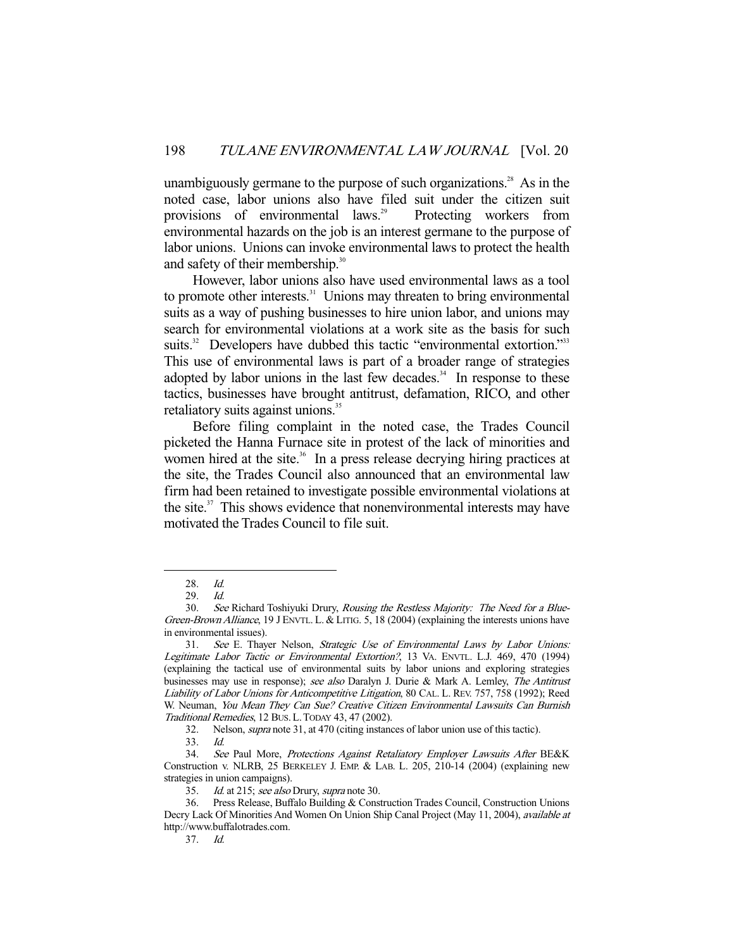unambiguously germane to the purpose of such organizations.<sup>28</sup> As in the noted case, labor unions also have filed suit under the citizen suit provisions of environmental laws.<sup>29</sup> Protecting workers from environmental hazards on the job is an interest germane to the purpose of labor unions. Unions can invoke environmental laws to protect the health and safety of their membership.<sup>30</sup>

 However, labor unions also have used environmental laws as a tool to promote other interests.<sup>31</sup> Unions may threaten to bring environmental suits as a way of pushing businesses to hire union labor, and unions may search for environmental violations at a work site as the basis for such suits.<sup>32</sup> Developers have dubbed this tactic "environmental extortion."<sup>333</sup> This use of environmental laws is part of a broader range of strategies adopted by labor unions in the last few decades. $34$  In response to these tactics, businesses have brought antitrust, defamation, RICO, and other retaliatory suits against unions.<sup>35</sup>

 Before filing complaint in the noted case, the Trades Council picketed the Hanna Furnace site in protest of the lack of minorities and women hired at the site.<sup>36</sup> In a press release decrying hiring practices at the site, the Trades Council also announced that an environmental law firm had been retained to investigate possible environmental violations at the site. $37$  This shows evidence that nonenvironmental interests may have motivated the Trades Council to file suit.

 <sup>28.</sup> Id.

 <sup>29.</sup> Id.

 <sup>30.</sup> See Richard Toshiyuki Drury, Rousing the Restless Majority: The Need for a Blue-Green-Brown Alliance, 19 J ENVTL. L. & LITIG. 5, 18 (2004) (explaining the interests unions have in environmental issues).

 <sup>31.</sup> See E. Thayer Nelson, Strategic Use of Environmental Laws by Labor Unions: Legitimate Labor Tactic or Environmental Extortion?, 13 VA. ENVTL. L.J. 469, 470 (1994) (explaining the tactical use of environmental suits by labor unions and exploring strategies businesses may use in response); see also Daralyn J. Durie & Mark A. Lemley, The Antitrust Liability of Labor Unions for Anticompetitive Litigation, 80 CAL. L. REV. 757, 758 (1992); Reed W. Neuman, You Mean They Can Sue? Creative Citizen Environmental Lawsuits Can Burnish Traditional Remedies, 12 BUS. L.TODAY 43, 47 (2002).

 <sup>32.</sup> Nelson, supra note 31, at 470 (citing instances of labor union use of this tactic).

<sup>33.</sup> *Id.*<br>34. *Sec* See Paul More, Protections Against Retaliatory Employer Lawsuits After BE&K Construction v. NLRB, 25 BERKELEY J. EMP. & LAB. L. 205, 210-14 (2004) (explaining new strategies in union campaigns).

<sup>35.</sup> Id. at 215; see also Drury, supra note 30.

 <sup>36.</sup> Press Release, Buffalo Building & Construction Trades Council, Construction Unions Decry Lack Of Minorities And Women On Union Ship Canal Project (May 11, 2004), *available at* http://www.buffalotrades.com.

 <sup>37.</sup> Id.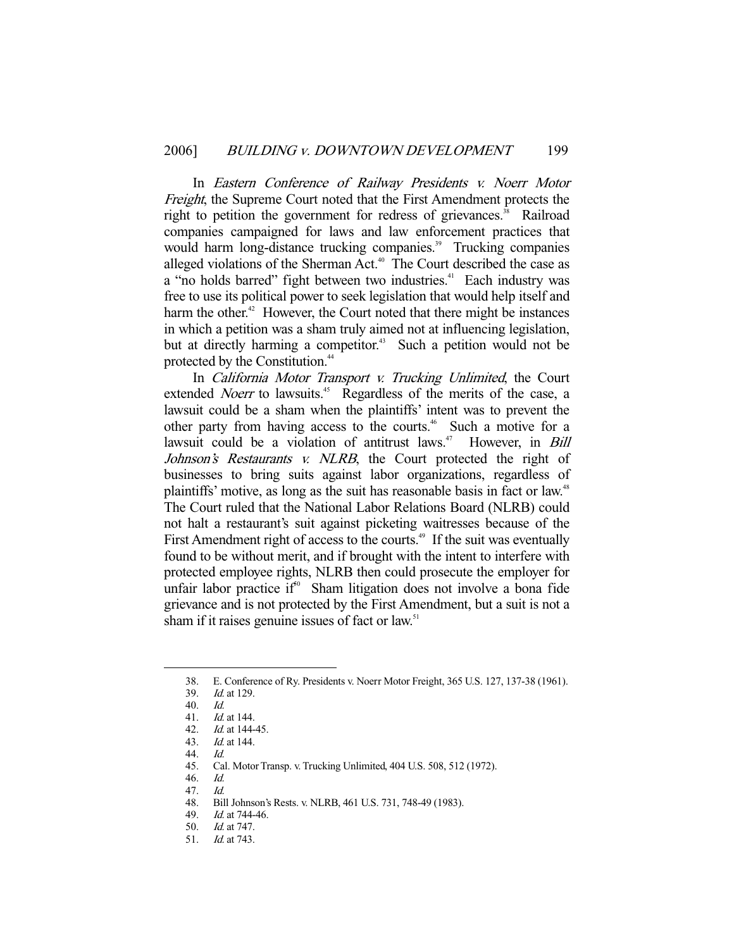In Eastern Conference of Railway Presidents v. Noerr Motor Freight, the Supreme Court noted that the First Amendment protects the right to petition the government for redress of grievances.<sup>38</sup> Railroad companies campaigned for laws and law enforcement practices that would harm long-distance trucking companies.<sup>39</sup> Trucking companies alleged violations of the Sherman Act.<sup>40</sup> The Court described the case as a "no holds barred" fight between two industries.<sup>41</sup> Each industry was free to use its political power to seek legislation that would help itself and harm the other.<sup>42</sup> However, the Court noted that there might be instances in which a petition was a sham truly aimed not at influencing legislation, but at directly harming a competitor.<sup>43</sup> Such a petition would not be protected by the Constitution.<sup>44</sup>

 In California Motor Transport v. Trucking Unlimited, the Court extended *Noerr* to lawsuits.<sup>45</sup> Regardless of the merits of the case, a lawsuit could be a sham when the plaintiffs' intent was to prevent the other party from having access to the courts.<sup>46</sup> Such a motive for a lawsuit could be a violation of antitrust laws.<sup> $47$ </sup> However, in *Bill* Johnson's Restaurants v. NLRB, the Court protected the right of businesses to bring suits against labor organizations, regardless of plaintiffs' motive, as long as the suit has reasonable basis in fact or law.<sup>48</sup> The Court ruled that the National Labor Relations Board (NLRB) could not halt a restaurant's suit against picketing waitresses because of the First Amendment right of access to the courts.<sup>49</sup> If the suit was eventually found to be without merit, and if brought with the intent to interfere with protected employee rights, NLRB then could prosecute the employer for unfair labor practice  $if<sup>60</sup>$  Sham litigation does not involve a bona fide grievance and is not protected by the First Amendment, but a suit is not a sham if it raises genuine issues of fact or law.<sup>51</sup>

 <sup>38.</sup> E. Conference of Ry. Presidents v. Noerr Motor Freight, 365 U.S. 127, 137-38 (1961).

 <sup>39.</sup> Id. at 129.

 <sup>40.</sup> Id.

 <sup>41.</sup> Id. at 144.

 <sup>42.</sup> Id. at 144-45. 43. Id. at 144.

 <sup>44.</sup> Id.

 <sup>45.</sup> Cal. Motor Transp. v. Trucking Unlimited, 404 U.S. 508, 512 (1972).

 <sup>46.</sup> Id.

 <sup>47.</sup> Id.

 <sup>48.</sup> Bill Johnson's Rests. v. NLRB, 461 U.S. 731, 748-49 (1983).

<sup>49.</sup> *Id.* at 744-46.<br>50. *Id.* at 747.

Id. at 747.

 <sup>51.</sup> Id. at 743.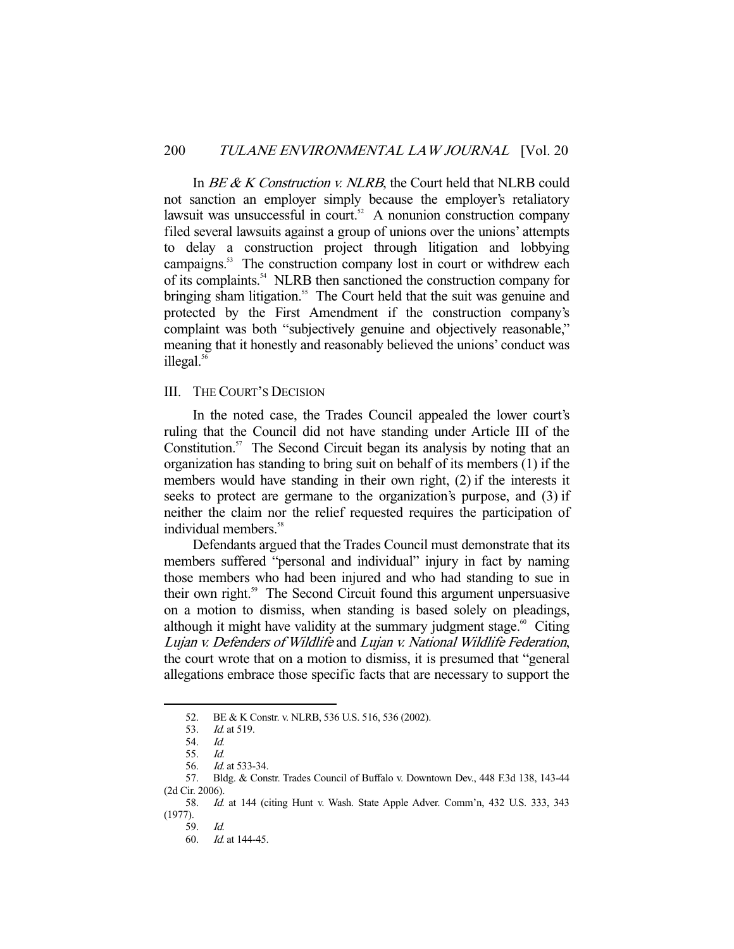In *BE & K Construction v. NLRB*, the Court held that NLRB could not sanction an employer simply because the employer's retaliatory lawsuit was unsuccessful in court.<sup>52</sup> A nonunion construction company filed several lawsuits against a group of unions over the unions' attempts to delay a construction project through litigation and lobbying campaigns.<sup>53</sup> The construction company lost in court or withdrew each of its complaints.54 NLRB then sanctioned the construction company for bringing sham litigation.<sup>55</sup> The Court held that the suit was genuine and protected by the First Amendment if the construction company's complaint was both "subjectively genuine and objectively reasonable," meaning that it honestly and reasonably believed the unions' conduct was illegal. $56$ 

## III. THE COURT'S DECISION

 In the noted case, the Trades Council appealed the lower court's ruling that the Council did not have standing under Article III of the Constitution. $57$  The Second Circuit began its analysis by noting that an organization has standing to bring suit on behalf of its members (1) if the members would have standing in their own right, (2) if the interests it seeks to protect are germane to the organization's purpose, and (3) if neither the claim nor the relief requested requires the participation of individual members.<sup>58</sup>

 Defendants argued that the Trades Council must demonstrate that its members suffered "personal and individual" injury in fact by naming those members who had been injured and who had standing to sue in their own right.<sup>59</sup> The Second Circuit found this argument unpersuasive on a motion to dismiss, when standing is based solely on pleadings, although it might have validity at the summary judgment stage. $\degree$  Citing Lujan v. Defenders of Wildlife and Lujan v. National Wildlife Federation, the court wrote that on a motion to dismiss, it is presumed that "general allegations embrace those specific facts that are necessary to support the

<sup>52.</sup> BE & K Constr. v. NLRB, 536 U.S. 516, 536 (2002).<br>53. Id. at 519.

*Id.* at 519.<br>*Id.* 

<sup>54.</sup> 

 <sup>55.</sup> Id.

 <sup>56.</sup> Id. at 533-34.

 <sup>57.</sup> Bldg. & Constr. Trades Council of Buffalo v. Downtown Dev., 448 F.3d 138, 143-44 (2d Cir. 2006).

 <sup>58.</sup> Id. at 144 (citing Hunt v. Wash. State Apple Adver. Comm'n, 432 U.S. 333, 343 (1977).

 <sup>59.</sup> Id.

 <sup>60.</sup> Id. at 144-45.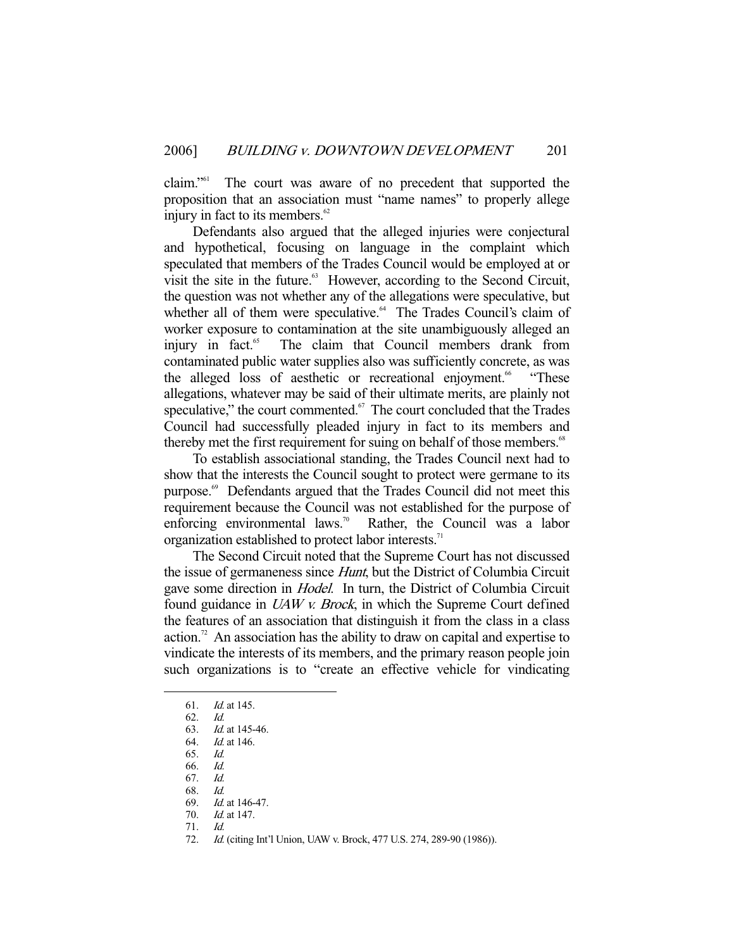claim."61 The court was aware of no precedent that supported the proposition that an association must "name names" to properly allege injury in fact to its members. $62$ 

 Defendants also argued that the alleged injuries were conjectural and hypothetical, focusing on language in the complaint which speculated that members of the Trades Council would be employed at or visit the site in the future.<sup>63</sup> However, according to the Second Circuit, the question was not whether any of the allegations were speculative, but whether all of them were speculative.<sup>64</sup> The Trades Council's claim of worker exposure to contamination at the site unambiguously alleged an injury in fact.<sup>65</sup> The claim that Council members drank from contaminated public water supplies also was sufficiently concrete, as was the alleged loss of aesthetic or recreational enjoyment.<sup>66</sup> "These allegations, whatever may be said of their ultimate merits, are plainly not speculative," the court commented.<sup>67</sup> The court concluded that the Trades Council had successfully pleaded injury in fact to its members and thereby met the first requirement for suing on behalf of those members.<sup>68</sup>

 To establish associational standing, the Trades Council next had to show that the interests the Council sought to protect were germane to its purpose.<sup>69</sup> Defendants argued that the Trades Council did not meet this requirement because the Council was not established for the purpose of enforcing environmental laws.<sup>70</sup> Rather, the Council was a labor organization established to protect labor interests.<sup>71</sup>

 The Second Circuit noted that the Supreme Court has not discussed the issue of germaneness since Hunt, but the District of Columbia Circuit gave some direction in Hodel. In turn, the District of Columbia Circuit found guidance in UAW v. Brock, in which the Supreme Court defined the features of an association that distinguish it from the class in a class action.<sup>72</sup> An association has the ability to draw on capital and expertise to vindicate the interests of its members, and the primary reason people join such organizations is to "create an effective vehicle for vindicating

 <sup>61.</sup> Id. at 145.

 <sup>62.</sup> Id.

 <sup>63.</sup> Id. at 145-46.

 <sup>64.</sup> Id. at 146.

 <sup>65.</sup> Id.

 <sup>66.</sup> Id.

 <sup>67.</sup> Id.

 <sup>68.</sup> Id.

 <sup>69.</sup> Id. at 146-47.

 <sup>70.</sup> Id. at 147.

 <sup>71.</sup> Id.

 <sup>72.</sup> Id. (citing Int'l Union, UAW v. Brock, 477 U.S. 274, 289-90 (1986)).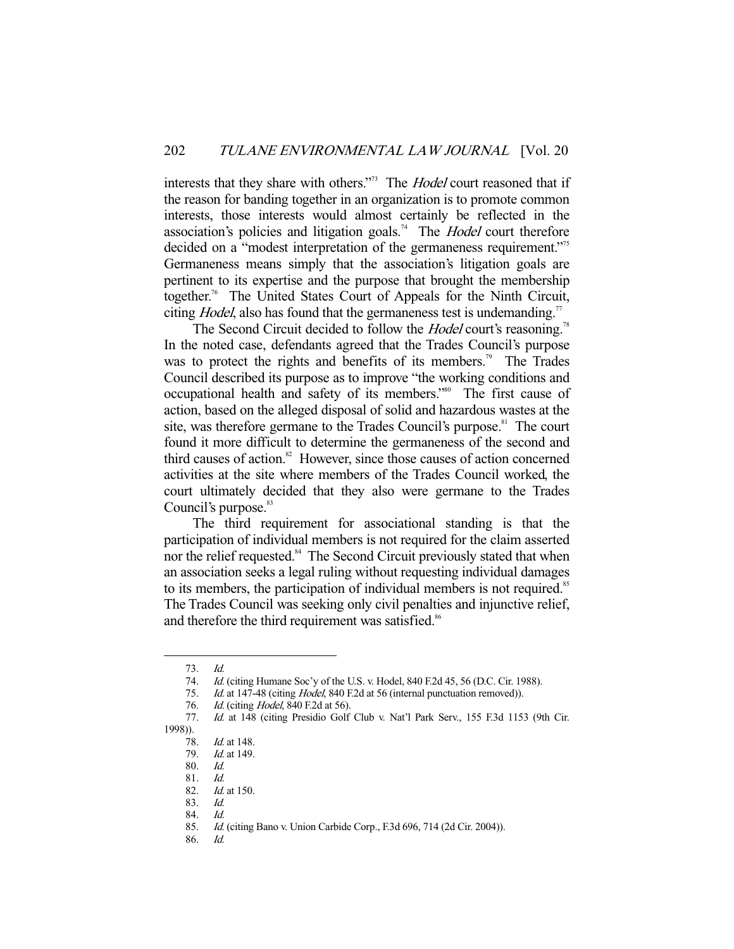interests that they share with others."<sup>73</sup> The *Hodel* court reasoned that if the reason for banding together in an organization is to promote common interests, those interests would almost certainly be reflected in the association's policies and litigation goals.<sup>74</sup> The *Hodel* court therefore decided on a "modest interpretation of the germaneness requirement."<sup>75</sup> Germaneness means simply that the association's litigation goals are pertinent to its expertise and the purpose that brought the membership together.<sup>76</sup> The United States Court of Appeals for the Ninth Circuit, citing *Hodel*, also has found that the germaneness test is undemanding.<sup>77</sup>

The Second Circuit decided to follow the *Hodel* court's reasoning.<sup>78</sup> In the noted case, defendants agreed that the Trades Council's purpose was to protect the rights and benefits of its members.<sup>79</sup> The Trades Council described its purpose as to improve "the working conditions and occupational health and safety of its members."80 The first cause of action, based on the alleged disposal of solid and hazardous wastes at the site, was therefore germane to the Trades Council's purpose.<sup>81</sup> The court found it more difficult to determine the germaneness of the second and third causes of action. $82$  However, since those causes of action concerned activities at the site where members of the Trades Council worked, the court ultimately decided that they also were germane to the Trades Council's purpose.<sup>83</sup>

 The third requirement for associational standing is that the participation of individual members is not required for the claim asserted nor the relief requested.<sup>84</sup> The Second Circuit previously stated that when an association seeks a legal ruling without requesting individual damages to its members, the participation of individual members is not required.<sup>85</sup> The Trades Council was seeking only civil penalties and injunctive relief, and therefore the third requirement was satisfied.<sup>86</sup>

-

86. Id.

 <sup>73.</sup> Id.

<sup>74.</sup> *Id.* (citing Humane Soc'y of the U.S. v. Hodel, 840 F.2d 45, 56 (D.C. Cir. 1988).

<sup>75.</sup> Id. at 147-48 (citing *Hodel*, 840 F.2d at 56 (internal punctuation removed)).

<sup>76.</sup> *Id.* (citing *Hodel*, 840 F.2d at 56).

 <sup>77.</sup> Id. at 148 (citing Presidio Golf Club v. Nat'l Park Serv., 155 F.3d 1153 (9th Cir. 1998)).

 <sup>78.</sup> Id. at 148.

 <sup>79.</sup> Id. at 149.

 <sup>80.</sup> Id.

 <sup>81.</sup> Id.

 <sup>82.</sup> Id. at 150.

 <sup>83.</sup> Id.

 <sup>84.</sup> Id.

 <sup>85.</sup> Id. (citing Bano v. Union Carbide Corp., F.3d 696, 714 (2d Cir. 2004)).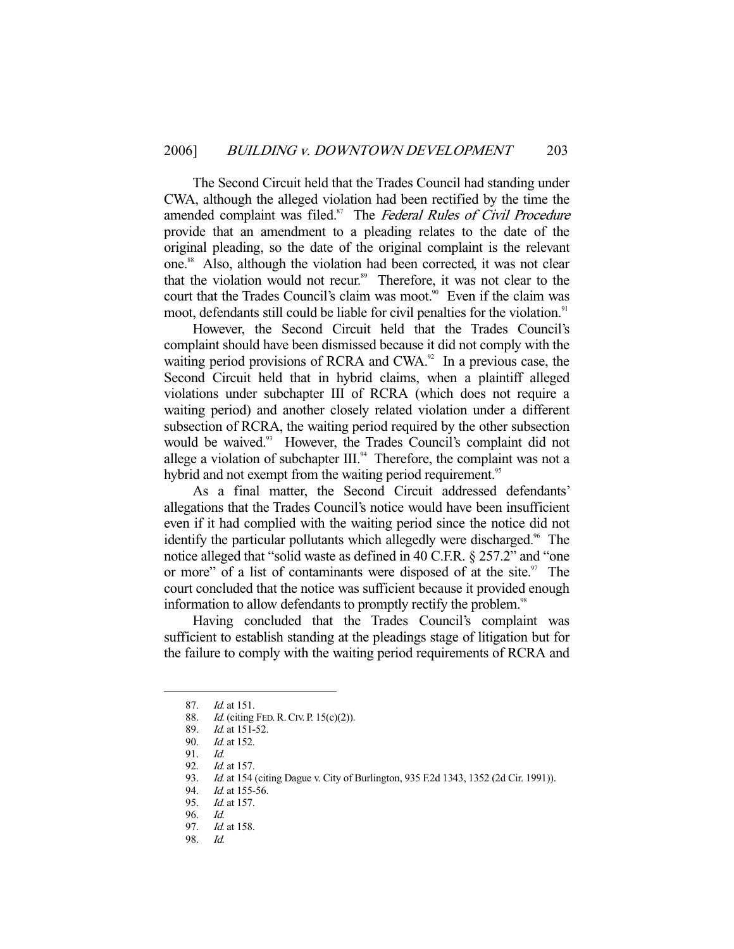The Second Circuit held that the Trades Council had standing under CWA, although the alleged violation had been rectified by the time the amended complaint was filed.<sup>87</sup> The Federal Rules of Civil Procedure provide that an amendment to a pleading relates to the date of the original pleading, so the date of the original complaint is the relevant one.<sup>88</sup> Also, although the violation had been corrected, it was not clear that the violation would not recur.<sup>89</sup> Therefore, it was not clear to the court that the Trades Council's claim was moot.<sup>90</sup> Even if the claim was moot, defendants still could be liable for civil penalties for the violation.<sup>91</sup>

 However, the Second Circuit held that the Trades Council's complaint should have been dismissed because it did not comply with the waiting period provisions of RCRA and CWA. $92$  In a previous case, the Second Circuit held that in hybrid claims, when a plaintiff alleged violations under subchapter III of RCRA (which does not require a waiting period) and another closely related violation under a different subsection of RCRA, the waiting period required by the other subsection would be waived.<sup>93</sup> However, the Trades Council's complaint did not allege a violation of subchapter  $III$ .<sup>94</sup> Therefore, the complaint was not a hybrid and not exempt from the waiting period requirement.<sup>95</sup>

 As a final matter, the Second Circuit addressed defendants' allegations that the Trades Council's notice would have been insufficient even if it had complied with the waiting period since the notice did not identify the particular pollutants which allegedly were discharged.<sup>96</sup> The notice alleged that "solid waste as defined in 40 C.F.R. § 257.2" and "one or more" of a list of contaminants were disposed of at the site. $\frac{97}{1}$  The court concluded that the notice was sufficient because it provided enough information to allow defendants to promptly rectify the problem.<sup>98</sup>

 Having concluded that the Trades Council's complaint was sufficient to establish standing at the pleadings stage of litigation but for the failure to comply with the waiting period requirements of RCRA and

<sup>87.</sup> *Id.* at 151.

<sup>88.</sup> *Id.* (citing FED. R. CIV. P. 15(c)(2)).

 <sup>89.</sup> Id. at 151-52.

 <sup>90.</sup> Id. at 152.

 <sup>91.</sup> Id.

 <sup>92.</sup> Id. at 157.

<sup>93.</sup> Id. at 154 (citing Dague v. City of Burlington, 935 F.2d 1343, 1352 (2d Cir. 1991)).

<sup>94.</sup> *Id.* at 155-56.

<sup>95.</sup> *Id.* at 157.

<sup>96.</sup> Id.<br>97. Id.

Id. at 158.

 <sup>98.</sup> Id.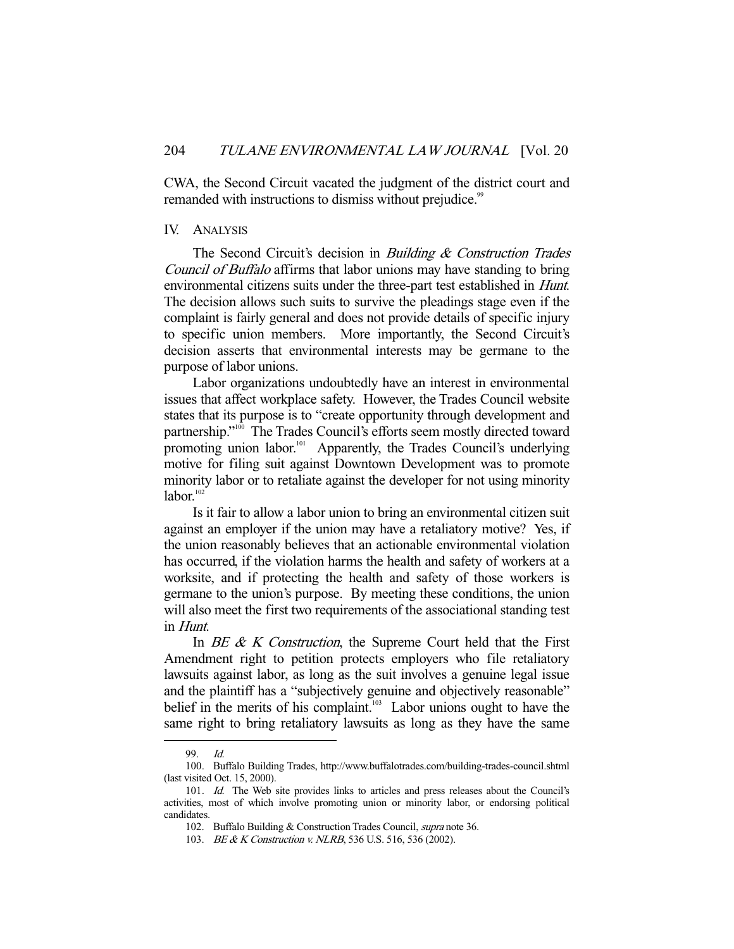CWA, the Second Circuit vacated the judgment of the district court and remanded with instructions to dismiss without prejudice.<sup>99</sup>

#### IV. ANALYSIS

The Second Circuit's decision in *Building & Construction Trades* Council of Buffalo affirms that labor unions may have standing to bring environmental citizens suits under the three-part test established in Hunt. The decision allows such suits to survive the pleadings stage even if the complaint is fairly general and does not provide details of specific injury to specific union members. More importantly, the Second Circuit's decision asserts that environmental interests may be germane to the purpose of labor unions.

 Labor organizations undoubtedly have an interest in environmental issues that affect workplace safety. However, the Trades Council website states that its purpose is to "create opportunity through development and partnership."<sup>100</sup> The Trades Council's efforts seem mostly directed toward promoting union labor.<sup>101</sup> Apparently, the Trades Council's underlying motive for filing suit against Downtown Development was to promote minority labor or to retaliate against the developer for not using minority  $labor.<sup>102</sup>$ 

 Is it fair to allow a labor union to bring an environmental citizen suit against an employer if the union may have a retaliatory motive? Yes, if the union reasonably believes that an actionable environmental violation has occurred, if the violation harms the health and safety of workers at a worksite, and if protecting the health and safety of those workers is germane to the union's purpose. By meeting these conditions, the union will also meet the first two requirements of the associational standing test in Hunt.

In  $BE \& K$  Construction, the Supreme Court held that the First Amendment right to petition protects employers who file retaliatory lawsuits against labor, as long as the suit involves a genuine legal issue and the plaintiff has a "subjectively genuine and objectively reasonable" belief in the merits of his complaint.<sup>103</sup> Labor unions ought to have the same right to bring retaliatory lawsuits as long as they have the same

 <sup>99.</sup> Id.

 <sup>100.</sup> Buffalo Building Trades, http://www.buffalotrades.com/building-trades-council.shtml (last visited Oct. 15, 2000).

<sup>101.</sup> Id. The Web site provides links to articles and press releases about the Council's activities, most of which involve promoting union or minority labor, or endorsing political candidates.

 <sup>102.</sup> Buffalo Building & Construction Trades Council, supra note 36.

<sup>103.</sup> BE & K Construction v. NLRB, 536 U.S. 516, 536 (2002).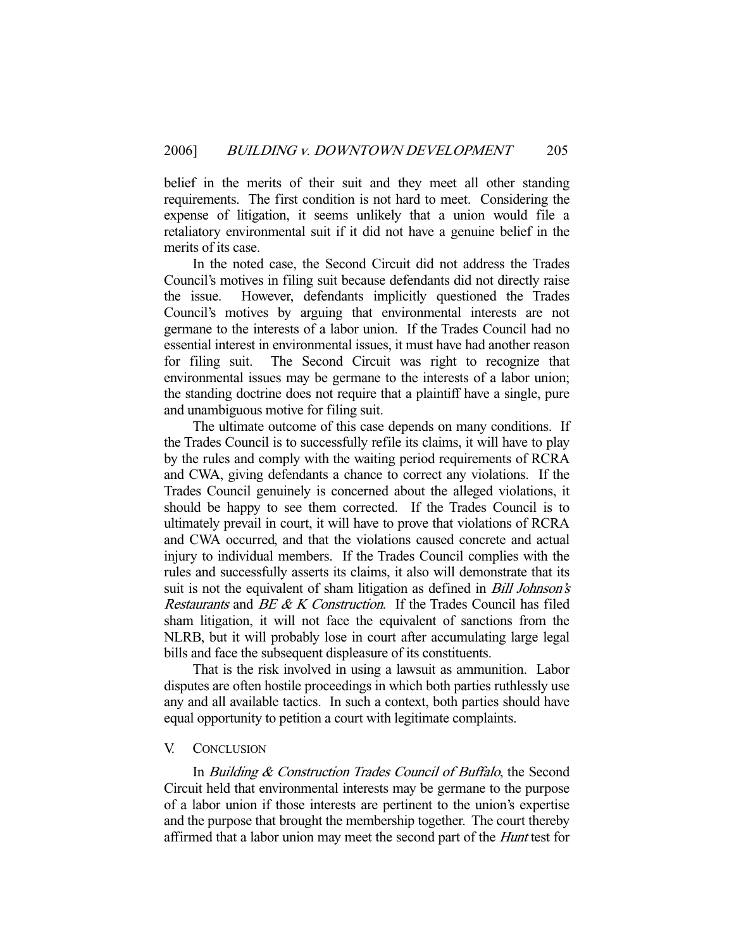belief in the merits of their suit and they meet all other standing requirements. The first condition is not hard to meet. Considering the expense of litigation, it seems unlikely that a union would file a retaliatory environmental suit if it did not have a genuine belief in the merits of its case.

 In the noted case, the Second Circuit did not address the Trades Council's motives in filing suit because defendants did not directly raise the issue. However, defendants implicitly questioned the Trades Council's motives by arguing that environmental interests are not germane to the interests of a labor union. If the Trades Council had no essential interest in environmental issues, it must have had another reason for filing suit. The Second Circuit was right to recognize that environmental issues may be germane to the interests of a labor union; the standing doctrine does not require that a plaintiff have a single, pure and unambiguous motive for filing suit.

 The ultimate outcome of this case depends on many conditions. If the Trades Council is to successfully refile its claims, it will have to play by the rules and comply with the waiting period requirements of RCRA and CWA, giving defendants a chance to correct any violations. If the Trades Council genuinely is concerned about the alleged violations, it should be happy to see them corrected. If the Trades Council is to ultimately prevail in court, it will have to prove that violations of RCRA and CWA occurred, and that the violations caused concrete and actual injury to individual members. If the Trades Council complies with the rules and successfully asserts its claims, it also will demonstrate that its suit is not the equivalent of sham litigation as defined in *Bill Johnson's* Restaurants and BE & K Construction. If the Trades Council has filed sham litigation, it will not face the equivalent of sanctions from the NLRB, but it will probably lose in court after accumulating large legal bills and face the subsequent displeasure of its constituents.

 That is the risk involved in using a lawsuit as ammunition. Labor disputes are often hostile proceedings in which both parties ruthlessly use any and all available tactics. In such a context, both parties should have equal opportunity to petition a court with legitimate complaints.

## V. CONCLUSION

In *Building & Construction Trades Council of Buffalo*, the Second Circuit held that environmental interests may be germane to the purpose of a labor union if those interests are pertinent to the union's expertise and the purpose that brought the membership together. The court thereby affirmed that a labor union may meet the second part of the Hunt test for